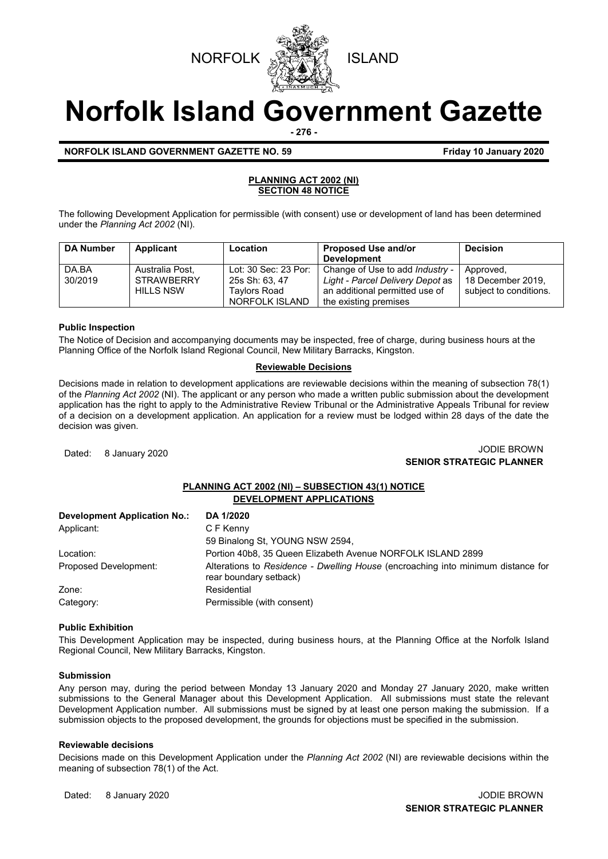



**Norfolk Island Government Gazette**

**- 276 -**

# **NORFOLK ISLAND GOVERNMENT GAZETTE NO. 59** *CONSERVERSIVE STRAND 10 January 2020*

### **PLANNING ACT 2002 (NI) SECTION 48 NOTICE**

The following Development Application for permissible (with consent) use or development of land has been determined under the *Planning Act 2002* (NI).

| <b>DA Number</b> | Applicant                                                | Location                                               | <b>Proposed Use and/or</b><br><b>Development</b>                                                             | <b>Decision</b>                                          |
|------------------|----------------------------------------------------------|--------------------------------------------------------|--------------------------------------------------------------------------------------------------------------|----------------------------------------------------------|
| DA.BA<br>30/2019 | Australia Post.<br><b>STRAWBERRY</b><br><b>HILLS NSW</b> | Lot: 30 Sec: 23 Por:<br>25s Sh: 63, 47<br>Tavlors Road | Change of Use to add <i>Industry -</i><br>Light - Parcel Delivery Depot as<br>an additional permitted use of | Approved,<br>18 December 2019.<br>subject to conditions. |
|                  |                                                          | NORFOLK ISLAND                                         | the existing premises                                                                                        |                                                          |

# **Public Inspection**

The Notice of Decision and accompanying documents may be inspected, free of charge, during business hours at the Planning Office of the Norfolk Island Regional Council, New Military Barracks, Kingston.

# **Reviewable Decisions**

Decisions made in relation to development applications are reviewable decisions within the meaning of subsection 78(1) of the *Planning Act 2002* (NI). The applicant or any person who made a written public submission about the development application has the right to apply to the Administrative Review Tribunal or the Administrative Appeals Tribunal for review of a decision on a development application. An application for a review must be lodged within 28 days of the date the decision was given.

# Dated: 8 January 2020 JODIE BROWN **SENIOR STRATEGIC PLANNER**

# **PLANNING ACT 2002 (NI) – SUBSECTION 43(1) NOTICE DEVELOPMENT APPLICATIONS**

| <b>Development Application No.:</b> | DA 1/2020                                                                                                  |
|-------------------------------------|------------------------------------------------------------------------------------------------------------|
| Applicant:                          | C F Kenny                                                                                                  |
|                                     | 59 Binalong St, YOUNG NSW 2594,                                                                            |
| Location:                           | Portion 40b8, 35 Queen Elizabeth Avenue NORFOLK ISLAND 2899                                                |
| Proposed Development:               | Alterations to Residence - Dwelling House (encroaching into minimum distance for<br>rear boundary setback) |
| Zone:                               | Residential                                                                                                |
| Category:                           | Permissible (with consent)                                                                                 |

### **Public Exhibition**

This Development Application may be inspected, during business hours, at the Planning Office at the Norfolk Island Regional Council, New Military Barracks, Kingston.

### **Submission**

Any person may, during the period between Monday 13 January 2020 and Monday 27 January 2020, make written submissions to the General Manager about this Development Application. All submissions must state the relevant Development Application number. All submissions must be signed by at least one person making the submission. If a submission objects to the proposed development, the grounds for objections must be specified in the submission.

### **Reviewable decisions**

Decisions made on this Development Application under the *Planning Act 2002* (NI) are reviewable decisions within the meaning of subsection 78(1) of the Act.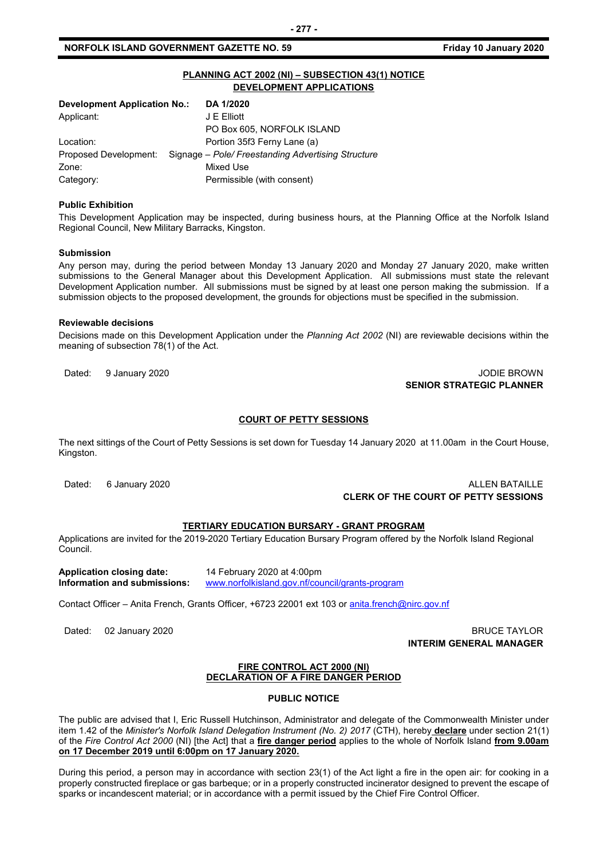# **NORFOLK ISLAND GOVERNMENT GAZETTE NO. 59** *CONSERVERSION Friday 10 January 2020*

# **PLANNING ACT 2002 (NI) – SUBSECTION 43(1) NOTICE DEVELOPMENT APPLICATIONS**

| <b>Development Application No.:</b> | DA 1/2020                                          |
|-------------------------------------|----------------------------------------------------|
| Applicant:                          | J E Elliott                                        |
|                                     | PO Box 605, NORFOLK ISLAND                         |
| Location:                           | Portion 35f3 Ferny Lane (a)                        |
| Proposed Development:               | Signage – Pole/ Freestanding Advertising Structure |
| Zone:                               | Mixed Use                                          |
| Category:                           | Permissible (with consent)                         |

#### **Public Exhibition**

This Development Application may be inspected, during business hours, at the Planning Office at the Norfolk Island Regional Council, New Military Barracks, Kingston.

#### **Submission**

Any person may, during the period between Monday 13 January 2020 and Monday 27 January 2020, make written submissions to the General Manager about this Development Application. All submissions must state the relevant Development Application number. All submissions must be signed by at least one person making the submission. If a submission objects to the proposed development, the grounds for objections must be specified in the submission.

#### **Reviewable decisions**

Decisions made on this Development Application under the *Planning Act 2002* (NI) are reviewable decisions within the meaning of subsection 78(1) of the Act.

# Dated: 9 January 2020 **John Community 2020** JODIE BROWN **SENIOR STRATEGIC PLANNER**

#### **COURT OF PETTY SESSIONS**

The next sittings of the Court of Petty Sessions is set down for Tuesday 14 January 2020 at 11.00am in the Court House, Kingston.

# Dated: 6 January 2020 **ALLEN BATAILLE CLERK OF THE COURT OF PETTY SESSIONS**

# **TERTIARY EDUCATION BURSARY - GRANT PROGRAM**

Applications are invited for the 2019-2020 Tertiary Education Bursary Program offered by the Norfolk Island Regional Council.

**Application closing date:** 14 February 2020 at 4:00pm **Information and submissions:** [www.norfolkisland.gov.nf/council/grants-program](http://www.norfolkisland.gov.nf/council/grants-program)

Contact Officer – Anita French, Grants Officer, +6723 22001 ext 103 o[r anita.french@nirc.gov.nf](mailto:anita.french@nirc.gov.nf)

# Dated: 02 January 2020 **BRUCE TAYLOR INTERIM GENERAL MANAGER**

### **FIRE CONTROL ACT 2000 (NI) DECLARATION OF A FIRE DANGER PERIOD**

#### **PUBLIC NOTICE**

The public are advised that I, Eric Russell Hutchinson, Administrator and delegate of the Commonwealth Minister under item 1.42 of the *Minister's Norfolk Island Delegation Instrument (No. 2) 2017* (CTH), hereby **declare** under section 21(1) of the *Fire Control Act 2000* (NI) [the Act] that a **fire danger period** applies to the whole of Norfolk Island **from 9.00am on 17 December 2019 until 6:00pm on 17 January 2020.**

During this period, a person may in accordance with section 23(1) of the Act light a fire in the open air: for cooking in a properly constructed fireplace or gas barbeque; or in a properly constructed incinerator designed to prevent the escape of sparks or incandescent material; or in accordance with a permit issued by the Chief Fire Control Officer.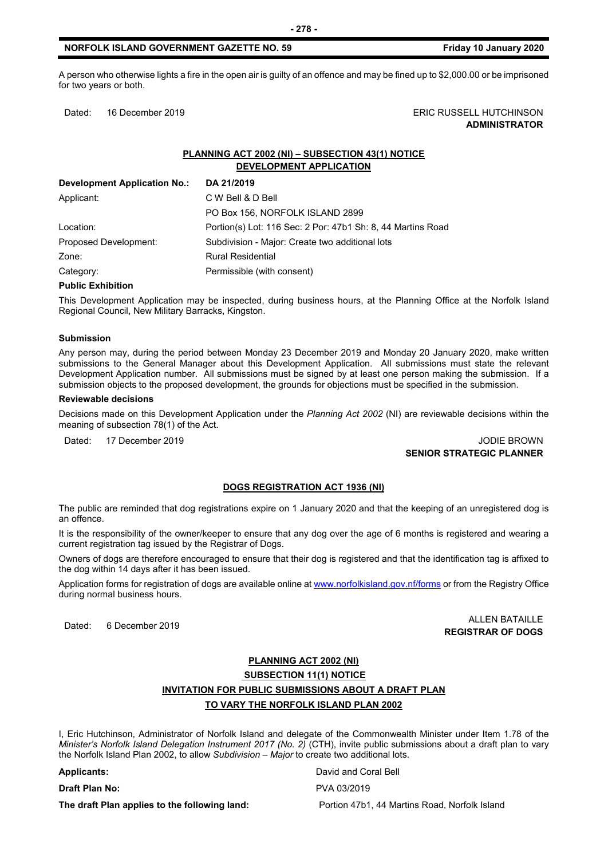### **NORFOLK ISLAND GOVERNMENT GAZETTE NO. 59 Friday 10 January 2020**

A person who otherwise lights a fire in the open air is guilty of an offence and may be fined up to \$2,000.00 or be imprisoned for two years or both.

Dated: 16 December 2019 **ERIC RUSSELL HUTCHINSON ADMINISTRATOR**

# **PLANNING ACT 2002 (NI) – SUBSECTION 43(1) NOTICE DEVELOPMENT APPLICATION**

| <b>Development Application No.:</b> | DA 21/2019                                                  |
|-------------------------------------|-------------------------------------------------------------|
| Applicant:                          | C W Bell & D Bell                                           |
|                                     | PO Box 156, NORFOLK ISLAND 2899                             |
| Location:                           | Portion(s) Lot: 116 Sec: 2 Por: 47b1 Sh: 8, 44 Martins Road |
| Proposed Development:               | Subdivision - Major: Create two additional lots             |
| Zone:                               | <b>Rural Residential</b>                                    |
| Category:                           | Permissible (with consent)                                  |

#### **Public Exhibition**

This Development Application may be inspected, during business hours, at the Planning Office at the Norfolk Island Regional Council, New Military Barracks, Kingston.

#### **Submission**

Any person may, during the period between Monday 23 December 2019 and Monday 20 January 2020, make written submissions to the General Manager about this Development Application. All submissions must state the relevant Development Application number. All submissions must be signed by at least one person making the submission. If a submission objects to the proposed development, the grounds for objections must be specified in the submission.

#### **Reviewable decisions**

Decisions made on this Development Application under the *Planning Act 2002* (NI) are reviewable decisions within the meaning of subsection 78(1) of the Act.

Dated: 17 December 2019 JODIE BROWN

# **SENIOR STRATEGIC PLANNER**

#### **DOGS REGISTRATION ACT 1936 (NI)**

The public are reminded that dog registrations expire on 1 January 2020 and that the keeping of an unregistered dog is an offence.

It is the responsibility of the owner/keeper to ensure that any dog over the age of 6 months is registered and wearing a current registration tag issued by the Registrar of Dogs.

Owners of dogs are therefore encouraged to ensure that their dog is registered and that the identification tag is affixed to the dog within 14 days after it has been issued.

Application forms for registration of dogs are available online a[t www.norfolkisland.gov.nf/forms](http://www.norfolkisland.gov.nf/forms) or from the Registry Office during normal business hours.

Dated: 6 December 2019 ALLEN BATAILLE **REGISTRAR OF DOGS**

# **PLANNING ACT 2002 (NI) SUBSECTION 11(1) NOTICE INVITATION FOR PUBLIC SUBMISSIONS ABOUT A DRAFT PLAN TO VARY THE NORFOLK ISLAND PLAN 2002**

I, Eric Hutchinson, Administrator of Norfolk Island and delegate of the Commonwealth Minister under Item 1.78 of the *Minister's Norfolk Island Delegation Instrument 2017 (No. 2)* (CTH), invite public submissions about a draft plan to vary the Norfolk Island Plan 2002, to allow *Subdivision – Major* to create two additional lots.

#### **Applicants:** David and Coral Bell

**The draft Plan applies to the following land:** Portion 47b1, 44 Martins Road, Norfolk Island

**Draft Plan No:** PVA 03/2019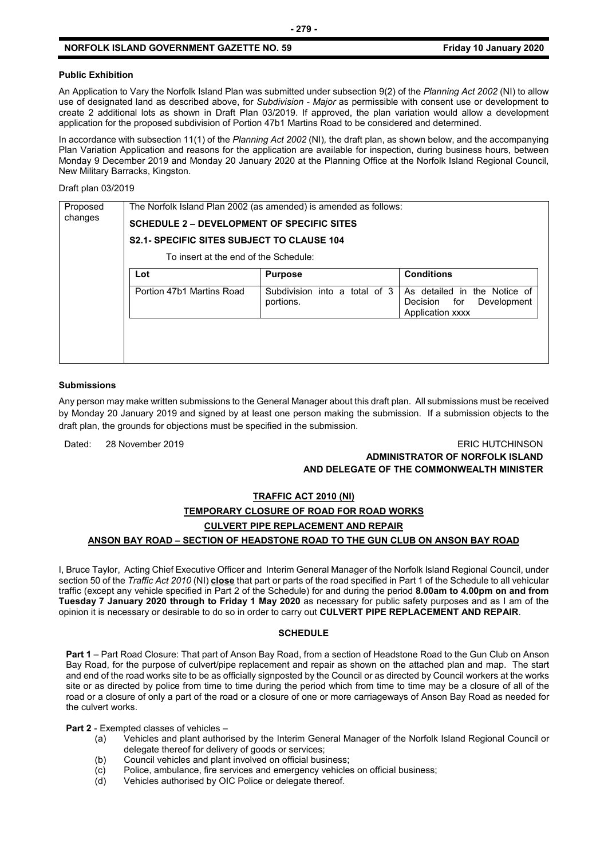# **NORFOLK ISLAND GOVERNMENT GAZETTE NO. 59 Friday 10 January 2020**

### **Public Exhibition**

An Application to Vary the Norfolk Island Plan was submitted under subsection 9(2) of the *Planning Act 2002* (NI) to allow use of designated land as described above, for *Subdivision - Major* as permissible with consent use or development to create 2 additional lots as shown in Draft Plan 03/2019. If approved, the plan variation would allow a development application for the proposed subdivision of Portion 47b1 Martins Road to be considered and determined.

In accordance with subsection 11(1) of the *Planning Act 2002* (NI)*,* the draft plan, as shown below, and the accompanying Plan Variation Application and reasons for the application are available for inspection, during business hours, between Monday 9 December 2019 and Monday 20 January 2020 at the Planning Office at the Norfolk Island Regional Council, New Military Barracks, Kingston.

Draft plan 03/2019

| Proposed<br>changes | The Norfolk Island Plan 2002 (as amended) is amended as follows: |                                            |                                                                                 |  |  |  |
|---------------------|------------------------------------------------------------------|--------------------------------------------|---------------------------------------------------------------------------------|--|--|--|
|                     | <b>SCHEDULE 2 - DEVELOPMENT OF SPECIFIC SITES</b>                |                                            |                                                                                 |  |  |  |
|                     | <b>S2.1- SPECIFIC SITES SUBJECT TO CLAUSE 104</b>                |                                            |                                                                                 |  |  |  |
|                     | To insert at the end of the Schedule:                            |                                            |                                                                                 |  |  |  |
|                     | Lot                                                              | <b>Purpose</b>                             | <b>Conditions</b>                                                               |  |  |  |
|                     | Portion 47b1 Martins Road                                        | Subdivision into a total of 3<br>portions. | As detailed in the Notice of<br>Decision for<br>Development<br>Application xxxx |  |  |  |
|                     |                                                                  |                                            |                                                                                 |  |  |  |
|                     |                                                                  |                                            |                                                                                 |  |  |  |

#### **Submissions**

Any person may make written submissions to the General Manager about this draft plan. All submissions must be received by Monday 20 January 2019 and signed by at least one person making the submission. If a submission objects to the draft plan, the grounds for objections must be specified in the submission.

Dated: 28 November 2019 ERIC HUTCHINSON

# **ADMINISTRATOR OF NORFOLK ISLAND AND DELEGATE OF THE COMMONWEALTH MINISTER**

# **TRAFFIC ACT 2010 (NI)**

# **TEMPORARY CLOSURE OF ROAD FOR ROAD WORKS CULVERT PIPE REPLACEMENT AND REPAIR**

# **ANSON BAY ROAD – SECTION OF HEADSTONE ROAD TO THE GUN CLUB ON ANSON BAY ROAD**

I, Bruce Taylor, Acting Chief Executive Officer and Interim General Manager of the Norfolk Island Regional Council, under section 50 of the *Traffic Act 2010* (NI) **close** that part or parts of the road specified in Part 1 of the Schedule to all vehicular traffic (except any vehicle specified in Part 2 of the Schedule) for and during the period **8.00am to 4.00pm on and from Tuesday 7 January 2020 through to Friday 1 May 2020** as necessary for public safety purposes and as I am of the opinion it is necessary or desirable to do so in order to carry out **CULVERT PIPE REPLACEMENT AND REPAIR**.

#### **SCHEDULE**

**Part 1** – Part Road Closure: That part of Anson Bay Road, from a section of Headstone Road to the Gun Club on Anson Bay Road, for the purpose of culvert/pipe replacement and repair as shown on the attached plan and map. The start and end of the road works site to be as officially signposted by the Council or as directed by Council workers at the works site or as directed by police from time to time during the period which from time to time may be a closure of all of the road or a closure of only a part of the road or a closure of one or more carriageways of Anson Bay Road as needed for the culvert works.

**Part 2** - Exempted classes of vehicles –

- (a) Vehicles and plant authorised by the Interim General Manager of the Norfolk Island Regional Council or delegate thereof for delivery of goods or services;
- (b) Council vehicles and plant involved on official business;
- (c) Police, ambulance, fire services and emergency vehicles on official business;
- (d) Vehicles authorised by OIC Police or delegate thereof.